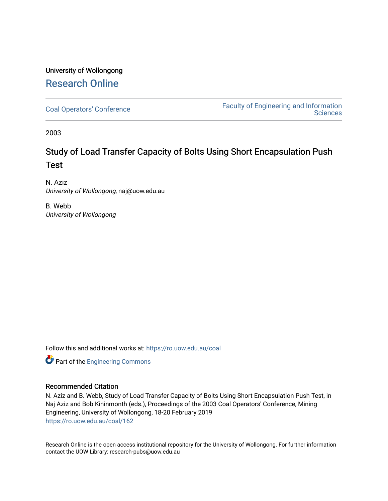# University of Wollongong [Research Online](https://ro.uow.edu.au/)

[Coal Operators' Conference](https://ro.uow.edu.au/coal) [Faculty of Engineering and Information](https://ro.uow.edu.au/eis)  **Sciences** 

2003

# Study of Load Transfer Capacity of Bolts Using Short Encapsulation Push Test

N. Aziz University of Wollongong, naj@uow.edu.au

B. Webb University of Wollongong

Follow this and additional works at: [https://ro.uow.edu.au/coal](https://ro.uow.edu.au/coal?utm_source=ro.uow.edu.au%2Fcoal%2F162&utm_medium=PDF&utm_campaign=PDFCoverPages) 

**Part of the [Engineering Commons](http://network.bepress.com/hgg/discipline/217?utm_source=ro.uow.edu.au%2Fcoal%2F162&utm_medium=PDF&utm_campaign=PDFCoverPages)** 

## Recommended Citation

N. Aziz and B. Webb, Study of Load Transfer Capacity of Bolts Using Short Encapsulation Push Test, in Naj Aziz and Bob Kininmonth (eds.), Proceedings of the 2003 Coal Operators' Conference, Mining Engineering, University of Wollongong, 18-20 February 2019 [https://ro.uow.edu.au/coal/162](https://ro.uow.edu.au/coal/162?utm_source=ro.uow.edu.au%2Fcoal%2F162&utm_medium=PDF&utm_campaign=PDFCoverPages) 

Research Online is the open access institutional repository for the University of Wollongong. For further information contact the UOW Library: research-pubs@uow.edu.au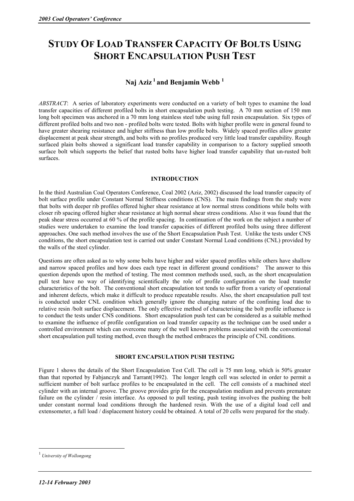# **STUDY OF LOAD TRANSFER CAPACITY OF BOLTS USING SHORT ENCAPSULATION PUSH TEST**

## **Naj Aziz 1 and Benjamin Webb 1**

*ABSTRACT*: A series of laboratory experiments were conducted on a variety of bolt types to examine the load transfer capacities of different profiled bolts in short encapsulation push testing. A 70 mm section of 150 mm long bolt specimen was anchored in a 70 mm long stainless steel tube using full resin encapsulation. Six types of different profiled bolts and two non - profiled bolts were tested. Bolts with higher profile were in general found to have greater shearing resistance and higher stiffness than low profile bolts. Widely spaced profiles allow greater displacement at peak shear strength, and bolts with no profiles produced very little load transfer capability. Rough surfaced plain bolts showed a significant load transfer capability in comparison to a factory supplied smooth surface bolt which supports the belief that rusted bolts have higher load transfer capability that un-rusted bolt surfaces.

#### **INTRODUCTION**

In the third Australian Coal Operators Conference, Coal 2002 (Aziz, 2002) discussed the load transfer capacity of bolt surface profile under Constant Normal Stiffness conditions (CNS). The main findings from the study were that bolts with deeper rib profiles offered higher shear resistance at low normal stress conditions while bolts with closer rib spacing offered higher shear resistance at high normal shear stress conditions. Also it was found that the peak shear stress occurred at 60 % of the profile spacing. In continuation of the work on the subject a number of studies were undertaken to examine the load transfer capacities of different profiled bolts using three different approaches. One such method involves the use of the Short Encapsulation Push Test. Unlike the tests under CNS conditions, the short encapsulation test is carried out under Constant Normal Load conditions (CNL) provided by the walls of the steel cylinder.

Questions are often asked as to why some bolts have higher and wider spaced profiles while others have shallow and narrow spaced profiles and how does each type react in different ground conditions? The answer to this question depends upon the method of testing. The most common methods used, such, as the short encapsulation pull test have no way of identifying scientifically the role of profile configuration on the load transfer characteristics of the bolt. The conventional short encapsulation test tends to suffer from a variety of operational and inherent defects, which make it difficult to produce repeatable results. Also, the short encapsulation pull test is conducted under CNL condition which generally ignore the changing nature of the confining load due to relative resin /bolt surface displacement. The only effective method of characterising the bolt profile influence is to conduct the tests under CNS conditions. Short encapsulation push test can be considered as a suitable method to examine the influence of profile configuration on load transfer capacity as the technique can be used under a controlled environment which can overcome many of the well known problems associated with the conventional short encapsulation pull testing method, even though the method embraces the principle of CNL conditions.

### **SHORT ENCAPSULATION PUSH TESTING**

Figure 1 shows the details of the Short Encapsulation Test Cell. The cell is 75 mm long, which is 50% greater than that reported by Fabjanczyk and Tarrant(1992). The longer length cell was selected in order to permit a sufficient number of bolt surface profiles to be encapsulated in the cell. The cell consists of a machined steel cylinder with an internal groove. The groove provides grip for the encapsulation medium and prevents premature failure on the cylinder / resin interface. As opposed to pull testing, push testing involves the pushing the bolt under constant normal load conditions through the hardened resin. With the use of a digital load cell and extensometer, a full load / displacement history could be obtained. A total of 20 cells were prepared for the study.

 $\overline{a}$ 

<sup>1</sup>  *University of Wollongong*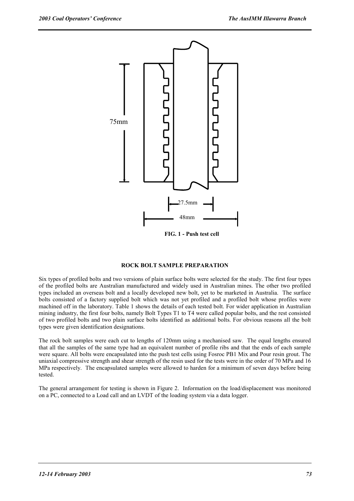

**FIG. 1 - Push test cell** 

#### **ROCK BOLT SAMPLE PREPARATION**

Six types of profiled bolts and two versions of plain surface bolts were selected for the study. The first four types of the profiled bolts are Australian manufactured and widely used in Australian mines. The other two profiled types included an overseas bolt and a locally developed new bolt, yet to be marketed in Australia. The surface bolts consisted of a factory supplied bolt which was not yet profiled and a profiled bolt whose profiles were machined off in the laboratory. Table 1 shows the details of each tested bolt. For wider application in Australian mining industry, the first four bolts, namely Bolt Types T1 to T4 were called popular bolts, and the rest consisted of two profiled bolts and two plain surface bolts identified as additional bolts. For obvious reasons all the bolt types were given identification designations.

The rock bolt samples were each cut to lengths of 120mm using a mechanised saw. The equal lengths ensured that all the samples of the same type had an equivalent number of profile ribs and that the ends of each sample were square. All bolts were encapsulated into the push test cells using Fosroc PB1 Mix and Pour resin grout. The uniaxial compressive strength and shear strength of the resin used for the tests were in the order of 70 MPa and 16 MPa respectively. The encapsulated samples were allowed to harden for a minimum of seven days before being tested.

The general arrangement for testing is shown in Figure 2. Information on the load/displacement was monitored on a PC, connected to a Load call and an LVDT of the loading system via a data logger.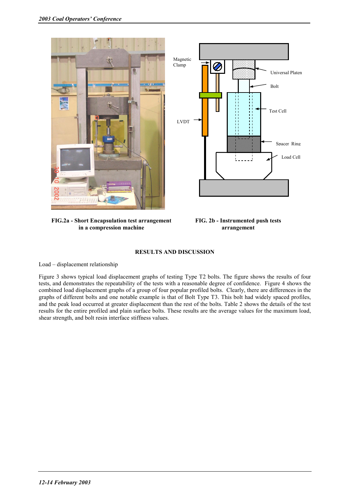



**FIG.2a - Short Encapsulation test arrangement in a compression machine** 

**FIG. 2b - Instrumented push tests arrangement** 

#### **RESULTS AND DISCUSSION**

Load – displacement relationship

Figure 3 shows typical load displacement graphs of testing Type T2 bolts. The figure shows the results of four tests, and demonstrates the repeatability of the tests with a reasonable degree of confidence. Figure 4 shows the combined load displacement graphs of a group of four popular profiled bolts. Clearly, there are differences in the graphs of different bolts and one notable example is that of Bolt Type T3. This bolt had widely spaced profiles, and the peak load occurred at greater displacement than the rest of the bolts. Table 2 shows the details of the test results for the entire profiled and plain surface bolts. These results are the average values for the maximum load, shear strength, and bolt resin interface stiffness values.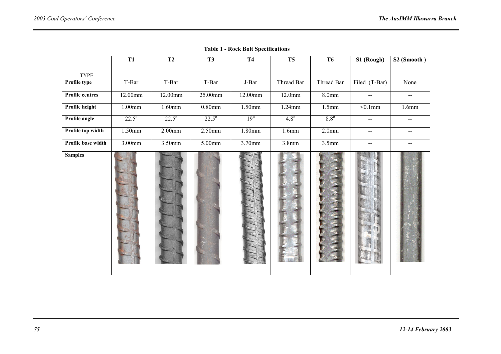|                        | $\overline{T1}$ | T <sub>2</sub> | T3             | T <sub>4</sub> | T <sub>5</sub> | T <sub>6</sub>    | S1 (Rough)                                    | S2(Smooth)                |
|------------------------|-----------------|----------------|----------------|----------------|----------------|-------------------|-----------------------------------------------|---------------------------|
| <b>TYPE</b>            |                 |                |                |                |                |                   |                                               |                           |
| Profile type           | T-Bar           | T-Bar          | T-Bar          | J-Bar          | Thread Bar     | Thread Bar        | Filed (T-Bar)                                 | None                      |
| <b>Profile centres</b> | 12.00mm         | 12.00mm        | 25.00mm        | 12.00mm        | 12.0mm         | 8.0 <sub>mm</sub> | $- -$                                         | $\mathbf{u} = \mathbf{v}$ |
| Profile height         | $1.00$ mm       | $1.60$ mm      | $0.80$ mm      | 1.50mm         | $1.24$ mm      | 1.5mm             | $< 0.1$ mm                                    | 1.6mm                     |
| Profile angle          | $22.5^{\circ}$  | $22.5^{\circ}$ | $22.5^{\circ}$ | $19^\circ$     | $4.8^\circ$    | $8.8^\circ$       | $\mathcal{L}_{\mathcal{F}}$                   |                           |
| Profile top width      | 1.50mm          | $2.00$ mm      | $2.50$ mm      | 1.80mm         | 1.6mm          | 2.0 <sub>mm</sub> | $\overline{a}$                                | $- -$                     |
| Profile base width     | 3.00mm          | 3.50mm         | 5.00mm         | 3.70mm         | 3.8mm          | 3.5mm             | $\mathord{\hspace{1pt}\text{--}\hspace{1pt}}$ | $-\,-$                    |
| <b>Samples</b>         |                 |                |                |                |                |                   |                                               |                           |

**Table 1 - Rock Bolt Specifications**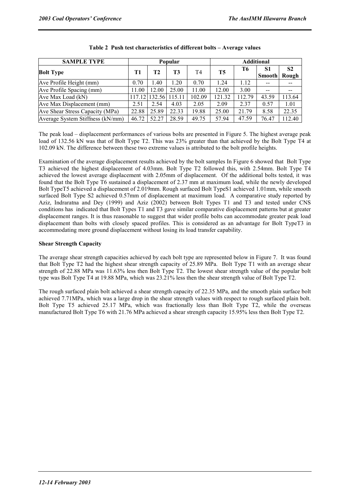| <b>SAMPLE TYPE</b>               | Popular |               |        |        | <b>Additional</b> |        |                     |                         |
|----------------------------------|---------|---------------|--------|--------|-------------------|--------|---------------------|-------------------------|
| <b>Bolt Type</b>                 | T1      | T2            | T3     | T4     | T <sub>5</sub>    | Т6     | S1<br><b>Smooth</b> | S <sub>2</sub><br>Rough |
| Ave Profile Height (mm)          | 0.70    | .40           | 1.20   | 0.70   | 1.24              | 1.12   |                     |                         |
| Ave Profile Spacing (mm)         | 11.00   | 12.00         | 25.00  | 11.00  | 12.00             | 3.00   |                     |                         |
| Ave Max Load (kN)                |         | 117.12 132.56 | 115.11 | 102.09 | 121.32            | 112.79 | 43.59               | 113.64                  |
| Ave Max Displacement (mm)        | 2.51    | 2.54          | 4.03   | 2.05   | 2.09              | 2.37   | 0.57                | 1.01                    |
| Ave Shear Stress Capacity (MPa)  | 22.88   | 25.89         | 22.33  | 19.88  | 25.00             | 21.79  | 8.58                | 22.35                   |
| Average System Stiffness (kN/mm) | 46.72   | 52.27         | 28.59  | 49.75  | 57.94             | 47.59  | 76.47               | 112.40                  |

#### **Table 2 Push test characteristics of different bolts – Average values**

The peak load – displacement performances of various bolts are presented in Figure 5. The highest average peak load of 132.56 kN was that of Bolt Type T2. This was 23% greater than that achieved by the Bolt Type T4 at 102.09 kN. The difference between these two extreme values is attributed to the bolt profile heights.

Examination of the average displacement results achieved by the bolt samples In Figure 6 showed that Bolt Type T3 achieved the highest displacement of 4.03mm. Bolt Type T2 followed this, with 2.54mm. Bolt Type T4 achieved the lowest average displacement with 2.05mm of displacement. Of the additional bolts tested, it was found that the Bolt Type T6 sustained a displacement of 2.37 mm at maximum load, while the newly developed Bolt TypeT5 achieved a displacement of 2.019mm. Rough surfaced Bolt TypeS1 achieved 1.01mm, while smooth surfaced Bolt Type S2 achieved 0.57mm of displacement at maximum load. A comparative study reported by Aziz, Indraratna and Dey (1999) and Aziz (2002) between Bolt Types T1 and T3 and tested under CNS conditions has indicated that Bolt Types T1 and T3 gave similar comparative displacement patterns but at greater displacement ranges. It is thus reasonable to suggest that wider profile bolts can accommodate greater peak load displacement than bolts with closely spaced profiles. This is considered as an advantage for Bolt TypeT3 in accommodating more ground displacement without losing its load transfer capability.

#### **Shear Strength Capacity**

The average shear strength capacities achieved by each bolt type are represented below in Figure 7. It was found that Bolt Type T2 had the highest shear strength capacity of 25.89 MPa. Bolt Type T1 with an average shear strength of 22.88 MPa was 11.63% less then Bolt Type T2. The lowest shear strength value of the popular bolt type was Bolt Type T4 at 19.88 MPa, which was 23.21% less then the shear strength value of Bolt Type T2.

The rough surfaced plain bolt achieved a shear strength capacity of 22.35 MPa, and the smooth plain surface bolt achieved 7.71MPa, which was a large drop in the shear strength values with respect to rough surfaced plain bolt. Bolt Type T5 achieved 25.17 MPa, which was fractionally less than Bolt Type T2, while the overseas manufactured Bolt Type T6 with 21.76 MPa achieved a shear strength capacity 15.95% less then Bolt Type T2.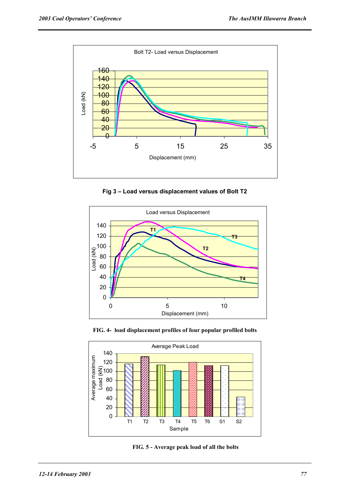

**Fig 3 – Load versus displacement values of Bolt T2** 



**FIG. 4- load displacement profiles of four popular profiled bolts** 



**FIG. 5 - Average peak load of all the bolts**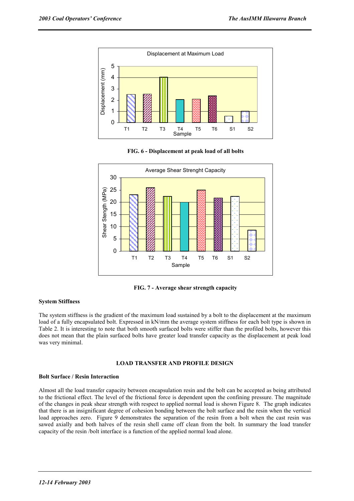

**FIG. 6 - Displacement at peak load of all bolts** 



**FIG. 7 - Average shear strength capacity** 

#### **System Stiffness**

The system stiffness is the gradient of the maximum load sustained by a bolt to the displacement at the maximum load of a fully encapsulated bolt. Expressed in kN/mm the average system stiffness for each bolt type is shown in Table 2. It is interesting to note that both smooth surfaced bolts were stiffer than the profiled bolts, however this does not mean that the plain surfaced bolts have greater load transfer capacity as the displacement at peak load was very minimal.

#### **LOAD TRANSFER AND PROFILE DESIGN**

#### **Bolt Surface / Resin Interaction**

Almost all the load transfer capacity between encapsulation resin and the bolt can be accepted as being attributed to the frictional effect. The level of the frictional force is dependent upon the confining pressure. The magnitude of the changes in peak shear strength with respect to applied normal load is shown Figure 8. The graph indicates that there is an insignificant degree of cohesion bonding between the bolt surface and the resin when the vertical load approaches zero. Figure 9 demonstrates the separation of the resin from a bolt when the cast resin was sawed axially and both halves of the resin shell came off clean from the bolt. In summary the load transfer capacity of the resin /bolt interface is a function of the applied normal load alone.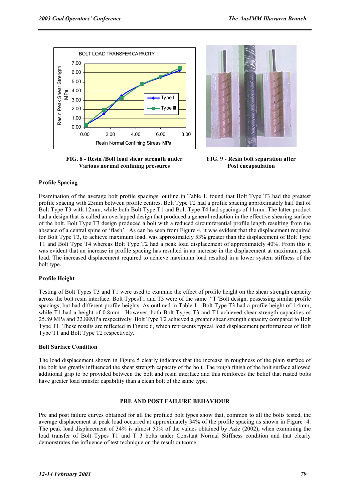



**FIG. 8 - Resin /Bolt load shear strength under Various normal confining pressures** 

**FIG. 9 - Resin bolt separation after Post encapsulation** 

#### **Profile Spacing**

Examination of the average bolt profile spacings, outline in Table 1, found that Bolt Type T3 had the greatest profile spacing with 25mm between profile centres. Bolt Type T2 had a profile spacing approximately half that of Bolt Type T3 with 12mm, while both Bolt Type T1 and Bolt Type T4 had spacings of 11mm. The latter product had a design that is called an overlapped design that produced a general reduction in the effective shearing surface of the bolt. Bolt Type T3 design produced a bolt with a reduced circumferential profile length resulting from the absence of a central spine or 'flash'. As can be seen from Figure 4, it was evident that the displacement required for Bolt Type T3, to achieve maximum load, was approximately 53% greater than the displacement of Bolt Type T1 and Bolt Type T4 whereas Bolt Type T2 had a peak load displacement of approximately 40%. From this it was evident that an increase in profile spacing has resulted in an increase in the displacement at maximum peak load. The increased displacement required to achieve maximum load resulted in a lower system stiffness of the bolt type.

#### **Profile Height**

Testing of Bolt Types T3 and T1 were used to examine the effect of profile height on the shear strength capacity across the bolt resin interface. Bolt TypesT1 and T3 were of the same "T"Bolt design, possessing similar profile spacings, but had different profile heights. As outlined in Table 1Bolt Type T3 had a profile height of 1.4mm, while T1 had a height of 0.8mm. However, both Bolt Types T3 and T1 achieved shear strength capacities of 25.89 MPa and 22.88MPa respectively. Bolt Type T2 achieved a greater shear strength capacity compared to Bolt Type T1. These results are reflected in Figure 6, which represents typical load displacement performances of Bolt Type T1 and Bolt Type T2 respectively.

#### **Bolt Surface Condition**

The load displacement shown in Figure 5 clearly indicates that the increase in roughness of the plain surface of the bolt has greatly influenced the shear strength capacity of the bolt. The rough finish of the bolt surface allowed additional grip to be provided between the bolt and resin interface and this reinforces the belief that rusted bolts have greater load transfer capability than a clean bolt of the same type.

#### **PRE AND POST FAILURE BEHAVIOUR**

Pre and post failure curves obtained for all the profiled bolt types show that, common to all the bolts tested, the average displacement at peak load occurred at approximately 34% of the profile spacing as shown in Figure 4. The peak load displacement of 34% is almost 50% of the values obtained by Aziz (2002), when examining the load transfer of Bolt Types T1 and T 3 bolts under Constant Normal Stiffness condition and that clearly demonstrates the influence of test technique on the result outcome.